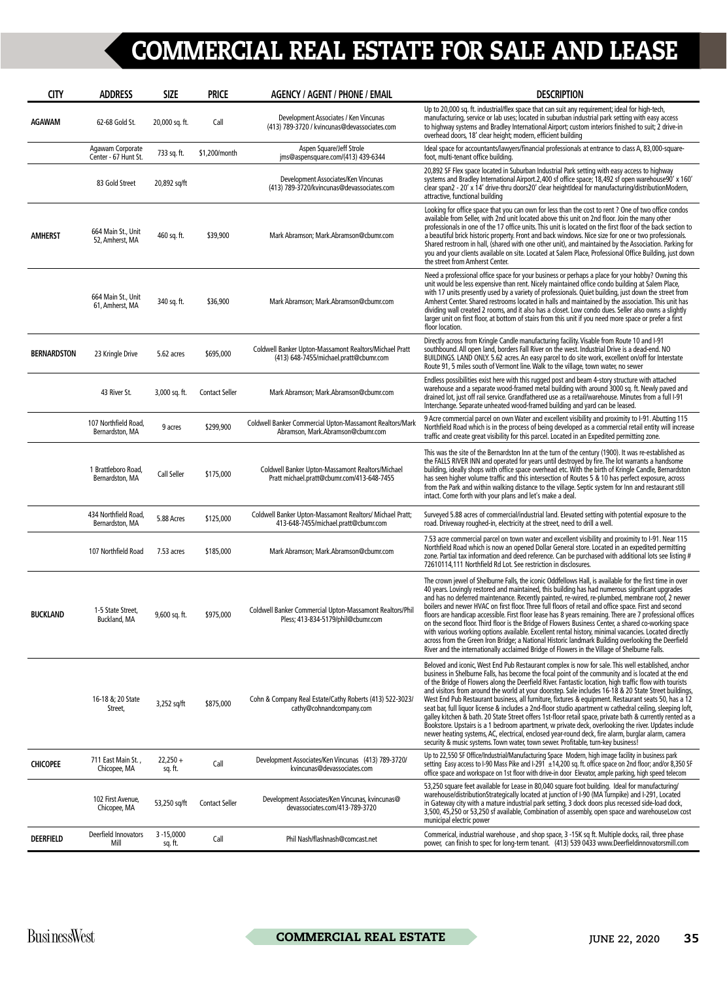| <b>CITY</b>        | <b>ADDRESS</b>                           | <b>SIZE</b>              | <b>PRICE</b>          | <b>AGENCY / AGENT / PHONE / EMAIL</b>                                                            | <b>DESCRIPTION</b>                                                                                                                                                                                                                                                                                                                                                                                                                                                                                                                                                                                                                                                                                                                                                                                                                                                                                                                                                                                                                                                |
|--------------------|------------------------------------------|--------------------------|-----------------------|--------------------------------------------------------------------------------------------------|-------------------------------------------------------------------------------------------------------------------------------------------------------------------------------------------------------------------------------------------------------------------------------------------------------------------------------------------------------------------------------------------------------------------------------------------------------------------------------------------------------------------------------------------------------------------------------------------------------------------------------------------------------------------------------------------------------------------------------------------------------------------------------------------------------------------------------------------------------------------------------------------------------------------------------------------------------------------------------------------------------------------------------------------------------------------|
| AGAWAM             | 62-68 Gold St.                           | 20,000 sq. ft.           | Call                  | Development Associates / Ken Vincunas<br>(413) 789-3720 / kvincunas@devassociates.com            | Up to 20,000 sq. ft. industrial/flex space that can suit any requirement; ideal for high-tech,<br>manufacturing, service or lab uses; located in suburban industrial park setting with easy access<br>to highway systems and Bradley International Airport; custom interiors finished to suit; 2 drive-in<br>overhead doors, 18' clear height; modern, efficient building                                                                                                                                                                                                                                                                                                                                                                                                                                                                                                                                                                                                                                                                                         |
|                    | Agawam Corporate<br>Center - 67 Hunt St. | 733 sq. ft.              | \$1,200/month         | Aspen Square/Jeff Strole<br>ims@aspensquare.com/(413) 439-6344                                   | Ideal space for accountants/lawyers/financial professionals at entrance to class A, 83,000-square-<br>foot, multi-tenant office building.                                                                                                                                                                                                                                                                                                                                                                                                                                                                                                                                                                                                                                                                                                                                                                                                                                                                                                                         |
|                    | 83 Gold Street                           | 20,892 sq/ft             |                       | Development Associates/Ken Vincunas<br>(413) 789-3720/kvincunas@devassociates.com                | 20,892 SF Flex space located in Suburban Industrial Park setting with easy access to highway<br>systems and Bradley International Airport.2,400 sf office space; 18,492 sf open warehouse90' x 160'<br>clear span2 - 20' x 14' drive-thru doors20' clear heightIdeal for manufacturing/distributionModern,<br>attractive, functional building                                                                                                                                                                                                                                                                                                                                                                                                                                                                                                                                                                                                                                                                                                                     |
| AMHERST            | 664 Main St., Unit<br>52, Amherst, MA    | 460 sq. ft.              | \$39,900              | Mark Abramson; Mark.Abramson@cbumr.com                                                           | Looking for office space that you can own for less than the cost to rent ? One of two office condos<br>available from Seller, with 2nd unit located above this unit on 2nd floor. Join the many other<br>professionals in one of the 17 office units. This unit is located on the first floor of the back section to<br>a beautiful brick historic property. Front and back windows. Nice size for one or two professionals.<br>Shared restroom in hall, (shared with one other unit), and maintained by the Association. Parking for<br>you and your clients available on site. Located at Salem Place, Professional Office Building, just down<br>the street from Amherst Center.                                                                                                                                                                                                                                                                                                                                                                               |
|                    | 664 Main St., Unit<br>61. Amherst, MA    | 340 sq. ft.              | \$36,900              | Mark Abramson; Mark.Abramson@cbumr.com                                                           | Need a professional office space for your business or perhaps a place for your hobby? Owning this<br>unit would be less expensive than rent. Nicely maintained office condo building at Salem Place,<br>with 17 units presently used by a variety of professionals. Quiet building, just down the street from<br>Amherst Center. Shared restrooms located in halls and maintained by the association. This unit has<br>dividing wall created 2 rooms, and it also has a closet. Low condo dues. Seller also owns a slightly<br>larger unit on first floor, at bottom of stairs from this unit if you need more space or prefer a first<br>floor location.                                                                                                                                                                                                                                                                                                                                                                                                         |
| <b>BERNARDSTON</b> | 23 Kringle Drive                         | 5.62 acres               | \$695,000             | Coldwell Banker Upton-Massamont Realtors/Michael Pratt<br>(413) 648-7455/michael.pratt@cbumr.com | Directly across from Kringle Candle manufacturing facility. Visable from Route 10 and I-91<br>southbound. All open land, borders Fall River on the west. Industrial Drive is a dead-end. NO<br>BUILDINGS. LAND ONLY. 5.62 acres. An easy parcel to do site work, excellent on/off for Interstate<br>Route 91, 5 miles south of Vermont line. Walk to the village, town water, no sewer                                                                                                                                                                                                                                                                                                                                                                                                                                                                                                                                                                                                                                                                            |
|                    | 43 River St.                             | 3,000 sq. ft.            | <b>Contact Seller</b> | Mark Abramson; Mark.Abramson@cbumr.com                                                           | Endless possibilities exist here with this rugged post and beam 4-story structure with attached<br>warehouse and a separate wood-framed metal building with around 3000 sq. ft. Newly paved and<br>drained lot, just off rail service. Grandfathered use as a retail/warehouse. Minutes from a full I-91<br>Interchange. Separate unheated wood-framed building and yard can be leased.                                                                                                                                                                                                                                                                                                                                                                                                                                                                                                                                                                                                                                                                           |
|                    | 107 Northfield Road,<br>Bernardston, MA  | 9 acres                  | \$299,900             | Coldwell Banker Commercial Upton-Massamont Realtors/Mark<br>Abramson, Mark.Abramson@cbumr.com    | 9 Acre commercial parcel on own Water and excellent visibility and proximity to I-91. Abutting 115<br>Northfield Road which is in the process of being developed as a commercial retail entity will increase<br>traffic and create great visibility for this parcel. Located in an Expedited permitting zone.                                                                                                                                                                                                                                                                                                                                                                                                                                                                                                                                                                                                                                                                                                                                                     |
|                    | 1 Brattleboro Road,<br>Bernardston, MA   | Call Seller              | \$175,000             | Coldwell Banker Upton-Massamont Realtors/Michael<br>Pratt michael.pratt@cbumr.com/413-648-7455   | This was the site of the Bernardston Inn at the turn of the century (1900). It was re-established as<br>the FALLS RIVER INN and operated for years until destroyed by fire. The lot warrants a handsome<br>building, ideally shops with office space overhead etc. With the birth of Kringle Candle, Bernardston<br>has seen higher volume traffic and this intersection of Routes 5 & 10 has perfect exposure, across<br>from the Park and within walking distance to the village. Septic system for Inn and restaurant still<br>intact. Come forth with your plans and let's make a deal.                                                                                                                                                                                                                                                                                                                                                                                                                                                                       |
|                    | 434 Northfield Road,<br>Bernardston, MA  | 5.88 Acres               | \$125,000             | Coldwell Banker Upton-Massamont Realtors/ Michael Pratt;<br>413-648-7455/michael.pratt@cbumr.com | Surveyed 5.88 acres of commercial/industrial land. Elevated setting with potential exposure to the<br>road. Driveway roughed-in, electricity at the street, need to drill a well.                                                                                                                                                                                                                                                                                                                                                                                                                                                                                                                                                                                                                                                                                                                                                                                                                                                                                 |
|                    | 107 Northfield Road                      | 7.53 acres               | \$185,000             | Mark Abramson; Mark.Abramson@cbumr.com                                                           | 7.53 acre commercial parcel on town water and excellent visibility and proximity to I-91. Near 115<br>Northfield Road which is now an opened Dollar General store. Located in an expedited permitting<br>zone. Partial tax information and deed reference. Can be purchased with additional lots see listing #<br>72610114,111 Northfield Rd Lot. See restriction in disclosures.                                                                                                                                                                                                                                                                                                                                                                                                                                                                                                                                                                                                                                                                                 |
| <b>BUCKLAND</b>    | 1-5 State Street,<br>Buckland, MA        | 9,600 sq. ft.            | \$975,000             | Coldwell Banker Commercial Upton-Massamont Realtors/Phil<br>Pless; 413-834-5179/phil@cbumr.com   | The crown jewel of Shelburne Falls, the iconic Oddfellows Hall, is available for the first time in over<br>40 years. Lovingly restored and maintained, this building has had numerous significant upgrades<br>and has no deferred maintenance. Recently painted, re-wired, re-plumbed, membrane roof, 2 newer<br>boilers and newer HVAC on first floor. Three full floors of retail and office space. First and second<br>floors are handicap accessible. First floor lease has 8 years remaining. There are 7 professional offices<br>on the second floor. Third floor is the Bridge of Flowers Business Center, a shared co-working space<br>with various working options available. Excellent rental history, minimal vacancies. Located directly<br>across from the Green Iron Bridge; a National Historic landmark Building overlooking the Deerfield<br>River and the internationally acclaimed Bridge of Flowers in the Village of Shelburne Falls.                                                                                                        |
|                    | 16-18 &; 20 State<br>Street,             | 3,252 sq/ft              | \$875,000             | Cohn & Company Real Estate/Cathy Roberts (413) 522-3023/<br>cathy@cohnandcompany.com             | Beloved and iconic, West End Pub Restaurant complex is now for sale. This well established, anchor<br>business in Shelburne Falls, has become the focal point of the community and is located at the end<br>of the Bridge of Flowers along the Deerfield River. Fantastic location, high traffic flow with tourists<br>and visitors from around the world at your doorstep. Sale includes 16-18 & 20 State Street buildings,<br>West End Pub Restaurant business, all furniture, fixtures & equipment. Restaurant seats 50, has a 12<br>seat bar, full liquor license & includes a 2nd-floor studio apartment w cathedral ceiling, sleeping loft,<br>galley kitchen & bath. 20 State Street offers 1st-floor retail space, private bath & currently rented as a<br>Bookstore. Upstairs is a 1 bedroom apartment, w private deck, overlooking the river. Updates include<br>newer heating systems, AC, electrical, enclosed year-round deck, fire alarm, burglar alarm, camera<br>security & music systems. Town water, town sewer. Profitable, turn-key business! |
| <b>CHICOPEE</b>    | 711 East Main St.,<br>Chicopee, MA       | $22,250 +$<br>sq. ft.    | Call                  | Development Associates/Ken Vincunas (413) 789-3720/<br>kvincunas@devassociates.com               | Up to 22,550 SF Office/Industrial/Manufacturing Space Modern, high image facility in business park<br>setting Easy access to I-90 Mass Pike and I-291 ±14,200 sq. ft. office space on 2nd floor; and/or 8,350 SF<br>office space and workspace on 1st floor with drive-in door Elevator, ample parking, high speed telecom                                                                                                                                                                                                                                                                                                                                                                                                                                                                                                                                                                                                                                                                                                                                        |
|                    | 102 First Avenue,<br>Chicopee, MA        | 53,250 sq/ft             | <b>Contact Seller</b> | Development Associates/Ken Vincunas, kvincunas@<br>devassociates.com/413-789-3720                | 53,250 square feet available for Lease in 80,040 square foot building. Ideal for manufacturing/<br>warehouse/distributionStrategically located at junction of I-90 (MA Turnpike) and I-291, Located<br>in Gateway city with a mature industrial park setting, 3 dock doors plus recessed side-load dock,<br>3,500, 45,250 or 53,250 sf available, Combination of assembly, open space and warehouseLow cost<br>municipal electric power                                                                                                                                                                                                                                                                                                                                                                                                                                                                                                                                                                                                                           |
| <b>DEERFIELD</b>   | Deerfield Innovators<br>Mill             | $3 - 15,0000$<br>sq. ft. | Call                  | Phil Nash/flashnash@comcast.net                                                                  | Commerical, industrial warehouse, and shop space, 3-15K sq ft. Multiple docks, rail, three phase<br>power, can finish to spec for long-term tenant. (413) 539 0433 www.Deerfieldinnovatorsmill.com                                                                                                                                                                                                                                                                                                                                                                                                                                                                                                                                                                                                                                                                                                                                                                                                                                                                |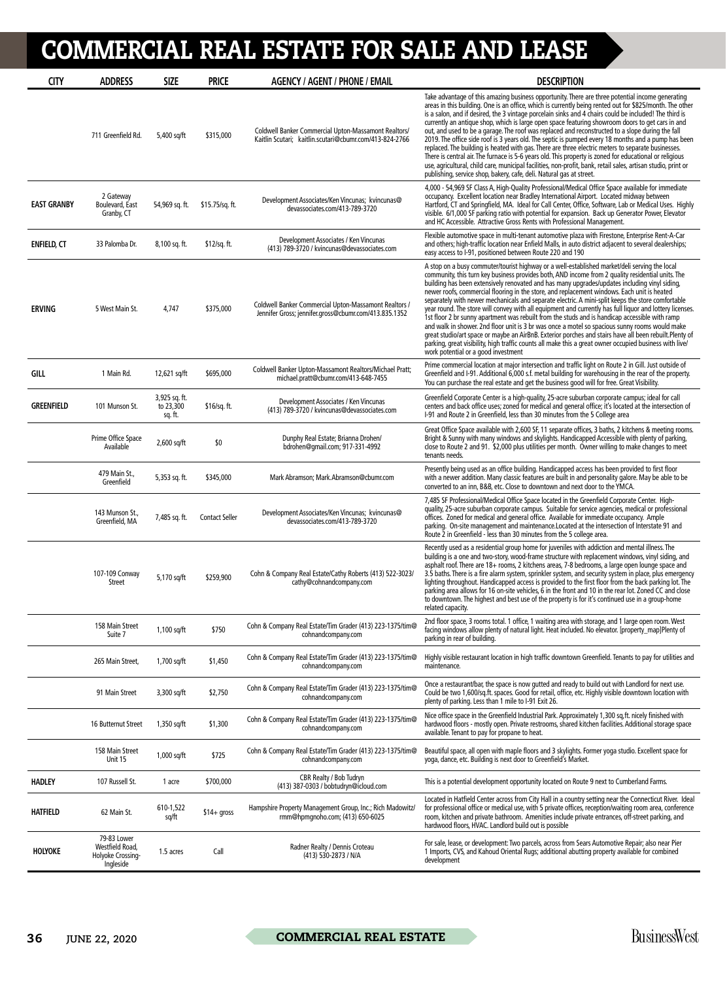| <b>CITY</b>        | <b>ADDRESS</b>                                                   | <b>SIZE</b>                           | <b>PRICE</b>          | <b>AGENCY / AGENT / PHONE / EMAIL</b>                                                                           | <b>DESCRIPTION</b>                                                                                                                                                                                                                                                                                                                                                                                                                                                                                                                                                                                                                                                                                                                                                                                                                                                                                                                                                                                                                                                                   |
|--------------------|------------------------------------------------------------------|---------------------------------------|-----------------------|-----------------------------------------------------------------------------------------------------------------|--------------------------------------------------------------------------------------------------------------------------------------------------------------------------------------------------------------------------------------------------------------------------------------------------------------------------------------------------------------------------------------------------------------------------------------------------------------------------------------------------------------------------------------------------------------------------------------------------------------------------------------------------------------------------------------------------------------------------------------------------------------------------------------------------------------------------------------------------------------------------------------------------------------------------------------------------------------------------------------------------------------------------------------------------------------------------------------|
|                    | 711 Greenfield Rd.                                               | 5,400 sq/ft                           | \$315,000             | Coldwell Banker Commercial Upton-Massamont Realtors/<br>Kaitlin Scutari; kaitlin.scutari@cbumr.com/413-824-2766 | Take advantage of this amazing business opportunity. There are three potential income generating<br>areas in this building. One is an office, which is currently being rented out for \$825/month. The other<br>is a salon, and if desired, the 3 vintage porcelain sinks and 4 chairs could be included! The third is<br>currently an antique shop, which is large open space featuring showroom doors to get cars in and<br>out, and used to be a garage. The roof was replaced and reconstructed to a slope during the fall<br>2019. The office side roof is 3 years old. The septic is pumped every 18 months and a pump has been<br>replaced. The building is heated with gas. There are three electric meters to separate businesses.<br>There is central air. The furnace is 5-6 years old. This property is zoned for educational or religious<br>use, agricultural, child care, municipal facilities, non-profit, bank, retail sales, artisan studio, print or<br>publishing, service shop, bakery, cafe, deli. Natural gas at street.                                      |
| <b>EAST GRANBY</b> | 2 Gateway<br>Boulevard, East<br>Granby, CT                       | 54,969 sq. ft.                        | \$15.75/sq. ft.       | Development Associates/Ken Vincunas; kvincunas@<br>devassociates.com/413-789-3720                               | 4,000 - 54,969 SF Class A, High-Quality Professional/Medical Office Space available for immediate<br>occupancy. Excellent location near Bradley International Airport. Located midway between<br>Hartford, CT and Springfield, MA. Ideal for Call Center, Office, Software, Lab or Medical Uses. Highly<br>visible. 6/1,000 SF parking ratio with potential for expansion. Back up Generator Power, Elevator<br>and HC Accessible. Attractive Gross Rents with Professional Management.                                                                                                                                                                                                                                                                                                                                                                                                                                                                                                                                                                                              |
| <b>ENFIELD, CT</b> | 33 Palomba Dr.                                                   | 8,100 sq. ft.                         | \$12/sq. ft.          | Development Associates / Ken Vincunas<br>(413) 789-3720 / kvincunas@devassociates.com                           | Flexible automotive space in multi-tenant automotive plaza with Firestone, Enterprise Rent-A-Car<br>and others; high-traffic location near Enfield Malls, in auto district adjacent to several dealerships;<br>easy access to I-91, positioned between Route 220 and 190                                                                                                                                                                                                                                                                                                                                                                                                                                                                                                                                                                                                                                                                                                                                                                                                             |
| <b>ERVING</b>      | 5 West Main St.                                                  | 4,747                                 | \$375,000             | Coldwell Banker Commercial Upton-Massamont Realtors /<br>Jennifer Gross; jennifer.gross@cbumr.com/413.835.1352  | A stop on a busy commuter/tourist highway or a well-established market/deli serving the local<br>community, this turn key business provides both, AND income from 2 quality residential units. The<br>building has been extensively renovated and has many upgrades/updates including vinyl siding,<br>newer roofs, commercial flooring in the store, and replacement windows. Each unit is heated<br>separately with newer mechanicals and separate electric. A mini-split keeps the store comfortable<br>year round. The store will convey with all equipment and currently has full liquor and lottery licenses.<br>1st floor 2 br sunny apartment was rebuilt from the studs and is handicap accessible with ramp<br>and walk in shower. 2nd floor unit is 3 br was once a motel so spacious sunny rooms would make<br>great studio/art space or maybe an AirBnB. Exterior porches and stairs have all been rebuilt. Plenty of<br>parking, great visibility, high traffic counts all make this a great owner occupied business with live/<br>work potential or a good investment |
| GILL               | 1 Main Rd.                                                       | 12,621 sq/ft                          | \$695,000             | Coldwell Banker Upton-Massamont Realtors/Michael Pratt;<br>michael.pratt@cbumr.com/413-648-7455                 | Prime commercial location at major intersection and traffic light on Route 2 in Gill. Just outside of<br>Greenfield and I-91. Additional 6,000 s.f. metal building for warehousing in the rear of the property.<br>You can purchase the real estate and get the business good will for free. Great Visibility.                                                                                                                                                                                                                                                                                                                                                                                                                                                                                                                                                                                                                                                                                                                                                                       |
| <b>GREENFIELD</b>  | 101 Munson St.                                                   | 3,925 sq. ft.<br>to 23,300<br>sq. ft. | $$16/sq.$ ft.         | Development Associates / Ken Vincunas<br>(413) 789-3720 / kvincunas@devassociates.com                           | Greenfield Corporate Center is a high-quality, 25-acre suburban corporate campus; ideal for call<br>centers and back office uses; zoned for medical and general office; it's located at the intersection of<br>I-91 and Route 2 in Greenfield, less than 30 minutes from the 5 College area                                                                                                                                                                                                                                                                                                                                                                                                                                                                                                                                                                                                                                                                                                                                                                                          |
|                    | Prime Office Space<br>Available                                  | 2,600 sq/ft                           | \$0                   | Dunphy Real Estate; Brianna Drohen/<br>bdrohen@qmail.com; 917-331-4992                                          | Great Office Space available with 2,600 SF, 11 separate offices, 3 baths, 2 kitchens & meeting rooms.<br>Bright & Sunny with many windows and skylights. Handicapped Accessible with plenty of parking,<br>close to Route 2 and 91. \$2,000 plus utilities per month. Owner willing to make changes to meet<br>tenants needs.                                                                                                                                                                                                                                                                                                                                                                                                                                                                                                                                                                                                                                                                                                                                                        |
|                    | 479 Main St.,<br>Greenfield                                      | 5,353 sq. ft.                         | \$345,000             | Mark Abramson; Mark.Abramson@cbumr.com                                                                          | Presently being used as an office building. Handicapped access has been provided to first floor<br>with a newer addition. Many classic features are built in and personality galore. May be able to be<br>converted to an inn. B&B, etc. Close to downtown and next door to the YMCA.                                                                                                                                                                                                                                                                                                                                                                                                                                                                                                                                                                                                                                                                                                                                                                                                |
|                    | 143 Munson St.,<br>Greenfield, MA                                | 7,485 sq. ft.                         | <b>Contact Seller</b> | Development Associates/Ken Vincunas; kvincunas@<br>devassociates.com/413-789-3720                               | 7,485 SF Professional/Medical Office Space located in the Greenfield Corporate Center. High-<br>quality, 25-acre suburban corporate campus. Suitable for service agencies, medical or professional<br>offices. Zoned for medical and general office. Available for immediate occupancy. Ample<br>parking. On-site management and maintenance.Located at the intersection of Interstate 91 and<br>Route 2 in Greenfield - less than 30 minutes from the 5 college area.                                                                                                                                                                                                                                                                                                                                                                                                                                                                                                                                                                                                               |
|                    | 107-109 Conway<br><b>Street</b>                                  | 5,170 sq/ft                           | \$259,900             | Cohn & Company Real Estate/Cathy Roberts (413) 522-3023/<br>cathy@cohnandcompany.com                            | Recently used as a residential group home for juveniles with addiction and mental illness. The<br>building is a one and two-story, wood-frame structure with replacement windows, vinyl siding, and<br>asphalt roof. There are 18+ rooms, 2 kitchens areas, 7-8 bedrooms, a large open lounge space and<br>3.5 baths. There is a fire alarm system, sprinkler system, and security system in place, plus emergency<br>lighting throughout. Handicapped access is provided to the first floor from the back parking lot. The<br>parking area allows for 16 on-site vehicles, 6 in the front and 10 in the rear lot. Zoned CC and close<br>to downtown. The highest and best use of the property is for it's continued use in a group-home<br>related capacity.                                                                                                                                                                                                                                                                                                                        |
|                    | 158 Main Street<br>Suite 7                                       | 1,100 sq/ft                           | \$750                 | Cohn & Company Real Estate/Tim Grader (413) 223-1375/tim@<br>cohnandcompany.com                                 | 2nd floor space, 3 rooms total. 1 office, 1 waiting area with storage, and 1 large open room. West<br>facing windows allow plenty of natural light. Heat included. No elevator. [property_map]Plenty of<br>parking in rear of building.                                                                                                                                                                                                                                                                                                                                                                                                                                                                                                                                                                                                                                                                                                                                                                                                                                              |
|                    | 265 Main Street,                                                 | 1,700 sq/ft                           | \$1,450               | Cohn & Company Real Estate/Tim Grader (413) 223-1375/tim@<br>cohnandcompany.com                                 | Highly visible restaurant location in high traffic downtown Greenfield. Tenants to pay for utilities and<br>maintenance.                                                                                                                                                                                                                                                                                                                                                                                                                                                                                                                                                                                                                                                                                                                                                                                                                                                                                                                                                             |
|                    | 91 Main Street                                                   | 3,300 sq/ft                           | \$2,750               | Cohn & Company Real Estate/Tim Grader (413) 223-1375/tim@<br>cohnandcompany.com                                 | Once a restaurant/bar, the space is now gutted and ready to build out with Landlord for next use.<br>Could be two 1,600/sq.ft. spaces. Good for retail, office, etc. Highly visible downtown location with<br>plenty of parking. Less than 1 mile to I-91 Exit 26.                                                                                                                                                                                                                                                                                                                                                                                                                                                                                                                                                                                                                                                                                                                                                                                                                   |
|                    | 16 Butternut Street                                              | 1,350 sq/ft                           | \$1,300               | Cohn & Company Real Estate/Tim Grader (413) 223-1375/tim@<br>cohnandcompany.com                                 | Nice office space in the Greenfield Industrial Park. Approximately 1,300 sq, ft. nicely finished with<br>hardwood floors - mostly open. Private restrooms, shared kitchen facilities. Additional storage space<br>available. Tenant to pay for propane to heat.                                                                                                                                                                                                                                                                                                                                                                                                                                                                                                                                                                                                                                                                                                                                                                                                                      |
|                    | 158 Main Street<br>Unit 15                                       | 1,000 sq/ft                           | \$725                 | Cohn & Company Real Estate/Tim Grader (413) 223-1375/tim@<br>cohnandcompany.com                                 | Beautiful space, all open with maple floors and 3 skylights. Former yoga studio. Excellent space for<br>yoga, dance, etc. Building is next door to Greenfield's Market.                                                                                                                                                                                                                                                                                                                                                                                                                                                                                                                                                                                                                                                                                                                                                                                                                                                                                                              |
| <b>HADLEY</b>      | 107 Russell St.                                                  | 1 acre                                | \$700,000             | CBR Realty / Bob Tudryn<br>(413) 387-0303 / bobtudryn@icloud.com                                                | This is a potential development opportunity located on Route 9 next to Cumberland Farms.                                                                                                                                                                                                                                                                                                                                                                                                                                                                                                                                                                                                                                                                                                                                                                                                                                                                                                                                                                                             |
| <b>HATFIELD</b>    | 62 Main St.                                                      | 610-1,522<br>sq/ft                    | $$14+$ gross          | Hampshire Property Management Group, Inc.; Rich Madowitz/<br>rmm@hpmqnoho.com; (413) 650-6025                   | Located in Hatfield Center across from City Hall in a country setting near the Connecticut River. Ideal<br>for professional office or medical use, with 5 private offices, reception/waiting room area, conference<br>room, kitchen and private bathroom. Amenities include private entrances, off-street parking, and<br>hardwood floors, HVAC. Landlord build out is possible                                                                                                                                                                                                                                                                                                                                                                                                                                                                                                                                                                                                                                                                                                      |
| <b>HOLYOKE</b>     | 79-83 Lower<br>Westfield Road,<br>Holyoke Crossing-<br>Ingleside | 1.5 acres                             | Call                  | Radner Realty / Dennis Croteau<br>(413) 530-2873 / N/A                                                          | For sale, lease, or development: Two parcels, across from Sears Automotive Repair; also near Pier<br>1 Imports, CVS, and Kahoud Oriental Rugs; additional abutting property available for combined<br>development                                                                                                                                                                                                                                                                                                                                                                                                                                                                                                                                                                                                                                                                                                                                                                                                                                                                    |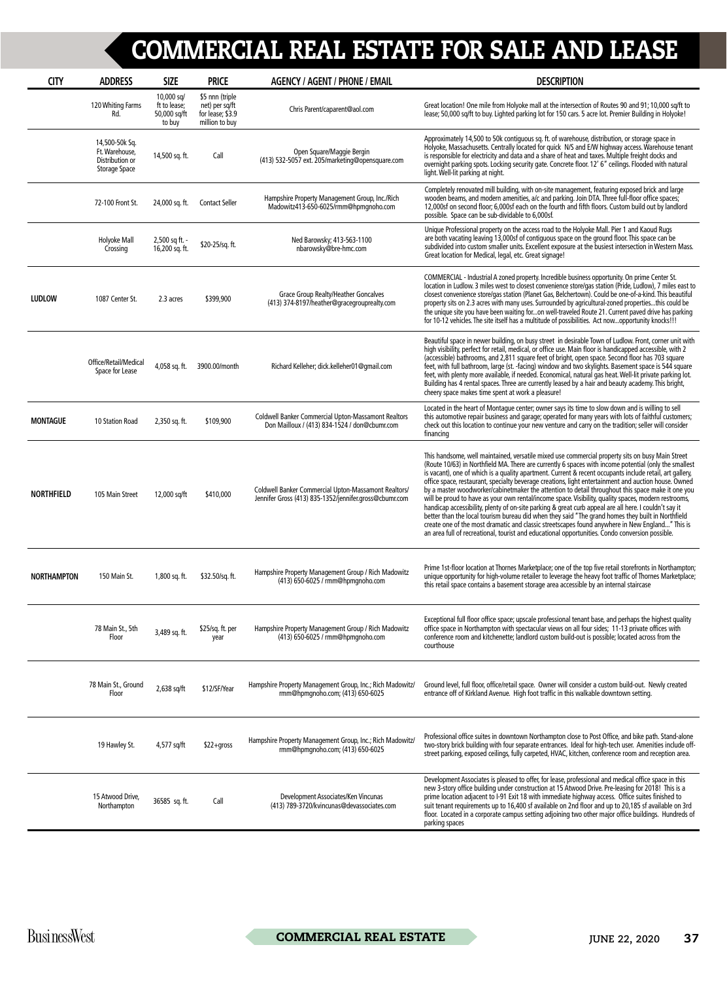| <b>CITY</b>        | <b>ADDRESS</b>                                                       | <b>SIZE</b>                                          | <b>PRICE</b>                                                            | <b>AGENCY / AGENT / PHONE / EMAIL</b>                                                                          | <b>DESCRIPTION</b>                                                                                                                                                                                                                                                                                                                                                                                                                                                                                                                                                                                                                                                                                                                                                                                                                                                                                                                                                                                                                                             |
|--------------------|----------------------------------------------------------------------|------------------------------------------------------|-------------------------------------------------------------------------|----------------------------------------------------------------------------------------------------------------|----------------------------------------------------------------------------------------------------------------------------------------------------------------------------------------------------------------------------------------------------------------------------------------------------------------------------------------------------------------------------------------------------------------------------------------------------------------------------------------------------------------------------------------------------------------------------------------------------------------------------------------------------------------------------------------------------------------------------------------------------------------------------------------------------------------------------------------------------------------------------------------------------------------------------------------------------------------------------------------------------------------------------------------------------------------|
|                    | 120 Whiting Farms<br>Rd.                                             | 10,000 sq/<br>ft to lease;<br>50,000 sq/ft<br>to buy | \$5 nnn (triple<br>net) per sq/ft<br>for lease; \$3.9<br>million to buy | Chris Parent/caparent@aol.com                                                                                  | Great location! One mile from Holyoke mall at the intersection of Routes 90 and 91; 10,000 sq/ft to<br>lease; 50,000 sq/ft to buy. Lighted parking lot for 150 cars. 5 acre lot. Premier Building in Holyoke!                                                                                                                                                                                                                                                                                                                                                                                                                                                                                                                                                                                                                                                                                                                                                                                                                                                  |
|                    | 14,500-50k Sq.<br>Ft. Warehouse,<br>Distribution or<br>Storage Space | 14,500 sq. ft.                                       | Call                                                                    | Open Square/Maggie Bergin<br>(413) 532-5057 ext. 205/marketing@opensquare.com                                  | Approximately 14,500 to 50k contiguous sq. ft. of warehouse, distribution, or storage space in<br>Holyoke, Massachusetts. Centrally located for quick N/S and E/W highway access. Warehouse tenant<br>is responsible for electricity and data and a share of heat and taxes. Multiple freight docks and<br>overnight parking spots. Locking security gate. Concrete floor. 12' 6" ceilings. Flooded with natural<br>light. Well-lit parking at night.                                                                                                                                                                                                                                                                                                                                                                                                                                                                                                                                                                                                          |
|                    | 72-100 Front St.                                                     | 24,000 sq. ft.                                       | <b>Contact Seller</b>                                                   | Hampshire Property Management Group, Inc./Rich<br>Madowitz413-650-6025/rmm@hpmgnoho.com                        | Completely renovated mill building, with on-site management, featuring exposed brick and large<br>wooden beams, and modern amenities, a/c and parking. Join DTA. Three full-floor office spaces;<br>12,000sf on second floor; 6,000sf each on the fourth and fifth floors. Custom build out by landlord<br>possible. Space can be sub-dividable to 6,000sf.                                                                                                                                                                                                                                                                                                                                                                                                                                                                                                                                                                                                                                                                                                    |
|                    | Holyoke Mall<br>Crossing                                             | 2,500 sq ft. -<br>16,200 sq. ft.                     | \$20-25/sq. ft.                                                         | Ned Barowsky; 413-563-1100<br>nbarowsky@bre-hmc.com                                                            | Unique Professional property on the access road to the Holyoke Mall. Pier 1 and Kaoud Rugs<br>are both vacating leaving 13,000sf of contiguous space on the ground floor. This space can be<br>subdivided into custom smaller units. Excellent exposure at the busiest intersection in Western Mass.<br>Great location for Medical, legal, etc. Great signage!                                                                                                                                                                                                                                                                                                                                                                                                                                                                                                                                                                                                                                                                                                 |
| <b>LUDLOW</b>      | 1087 Center St.                                                      | 2.3 acres                                            | \$399,900                                                               | Grace Group Realty/Heather Goncalves<br>(413) 374-8197/heather@gracegrouprealty.com                            | COMMERCIAL - Industrial A zoned property. Incredible business opportunity. On prime Center St.<br>location in Ludlow. 3 miles west to closest convenience store/gas station (Pride, Ludlow), 7 miles east to<br>closest convenience store/gas station (Planet Gas, Belchertown). Could be one-of-a-kind. This beautiful<br>property sits on 2.3 acres with many uses. Surrounded by agricultural-zoned propertiesthis could be<br>the unique site you have been waiting foron well-traveled Route 21. Current paved drive has parking<br>for 10-12 vehicles. The site itself has a multitude of possibilities. Act nowopportunity knocks!!!                                                                                                                                                                                                                                                                                                                                                                                                                    |
|                    | Office/Retail/Medical<br>Space for Lease                             | 4,058 sq. ft.                                        | 3900.00/month                                                           | Richard Kelleher; dick.kelleher01@gmail.com                                                                    | Beautiful space in newer building, on busy street in desirable Town of Ludlow. Front, corner unit with<br>high visibility, perfect for retail, medical, or office use. Main floor is handicapped accessible, with 2<br>(accessible) bathrooms, and 2,811 square feet of bright, open space. Second floor has 703 square<br>feet, with full bathroom, large (st. -facing) window and two skylights. Basement space is 544 square<br>feet, with plenty more available, if needed. Economical, natural gas heat. Well-lit private parking lot.<br>Building has 4 rental spaces. Three are currently leased by a hair and beauty academy. This bright,<br>cheery space makes time spent at work a pleasure!                                                                                                                                                                                                                                                                                                                                                        |
| <b>MONTAGUE</b>    | 10 Station Road                                                      | 2,350 sq. ft.                                        | \$109,900                                                               | <b>Coldwell Banker Commercial Upton-Massamont Realtors</b><br>Don Mailloux / (413) 834-1524 / don@cbumr.com    | Located in the heart of Montague center; owner says its time to slow down and is willing to sell<br>this automotive repair business and garage; operated for many years with lots of faithful customers;<br>check out this location to continue your new venture and carry on the tradition; seller will consider<br>financing                                                                                                                                                                                                                                                                                                                                                                                                                                                                                                                                                                                                                                                                                                                                 |
| <b>NORTHFIELD</b>  | 105 Main Street                                                      | 12,000 sq/ft                                         | \$410,000                                                               | Coldwell Banker Commercial Upton-Massamont Realtors/<br>Jennifer Gross (413) 835-1352/jennifer.gross@cbumr.com | This handsome, well maintained, versatile mixed use commercial property sits on busy Main Street<br>(Route 10/63) in Northfield MA. There are currently 6 spaces with income potential (only the smallest<br>is vacant), one of which is a quality apartment. Current & recent occupants include retail, art gallery,<br>office space, restaurant, specialty beverage creations, light entertainment and auction house. Owned<br>by a master woodworker/cabinetmaker the attention to detail throughout this space make it one you<br>will be proud to have as your own rental/income space. Visibility, quality spaces, modern restrooms,<br>handicap accessibility, plenty of on-site parking & great curb appeal are all here. I couldn't say it<br>better than the local tourism bureau did when they said "The grand homes they built in Northfield<br>create one of the most dramatic and classic streetscapes found anywhere in New England" This is<br>an area full of recreational, tourist and educational opportunities. Condo conversion possible. |
| <b>NORTHAMPTON</b> | 150 Main St.                                                         | 1,800 sq. ft.                                        | \$32.50/sq. ft.                                                         | Hampshire Property Management Group / Rich Madowitz<br>(413) 650-6025 / rmm@hpmgnoho.com                       | Prime 1st-floor location at Thornes Marketplace; one of the top five retail storefronts in Northampton;<br>unique opportunity for high-volume retailer to leverage the heavy foot traffic of Thornes Marketplace;<br>this retail space contains a basement storage area accessible by an internal staircase                                                                                                                                                                                                                                                                                                                                                                                                                                                                                                                                                                                                                                                                                                                                                    |
|                    | 78 Main St., 5th<br>Floor                                            | 3,489 sq. ft.                                        | $$25/sq.$ ft. per<br>year                                               | Hampshire Property Management Group / Rich Madowitz<br>(413) 650-6025 / rmm@hpmgnoho.com                       | Exceptional full floor office space; upscale professional tenant base, and perhaps the highest quality<br>office space in Northampton with spectacular views on all four sides; 11-13 private offices with<br>conference room and kitchenette; landlord custom build-out is possible; located across from the<br>courthouse                                                                                                                                                                                                                                                                                                                                                                                                                                                                                                                                                                                                                                                                                                                                    |
|                    | 78 Main St., Ground<br>Floor                                         | 2,638 sq/ft                                          | \$12/SF/Year                                                            | Hampshire Property Management Group, Inc.; Rich Madowitz/<br>rmm@hpmgnoho.com; (413) 650-6025                  | Ground level, full floor, office/retail space. Owner will consider a custom build-out. Newly created<br>entrance off of Kirkland Avenue. High foot traffic in this walkable downtown setting.                                                                                                                                                                                                                                                                                                                                                                                                                                                                                                                                                                                                                                                                                                                                                                                                                                                                  |
|                    | 19 Hawley St.                                                        | 4,577 sq/ft                                          | $$22+gross$                                                             | Hampshire Property Management Group, Inc.; Rich Madowitz/<br>rmm@hpmqnoho.com; (413) 650-6025                  | Professional office suites in downtown Northampton close to Post Office, and bike path. Stand-alone<br>two-story brick building with four separate entrances. Ideal for high-tech user. Amenities include off-<br>street parking, exposed ceilings, fully carpeted, HVAC, kitchen, conference room and reception area.                                                                                                                                                                                                                                                                                                                                                                                                                                                                                                                                                                                                                                                                                                                                         |
|                    | 15 Atwood Drive,<br>Northampton                                      | 36585 sq. ft.                                        | Call                                                                    | Development Associates/Ken Vincunas<br>(413) 789-3720/kvincunas@devassociates.com                              | Development Associates is pleased to offer, for lease, professional and medical office space in this<br>new 3-story office building under construction at 15 Atwood Drive. Pre-leasing for 2018! This is a<br>prime location adjacent to I-91 Exit 18 with immediate highway access. Office suites finished to<br>suit tenant requirements up to 16,400 sf available on 2nd floor and up to 20,185 sf available on 3rd<br>floor. Located in a corporate campus setting adjoining two other major office buildings. Hundreds of<br>parking spaces                                                                                                                                                                                                                                                                                                                                                                                                                                                                                                               |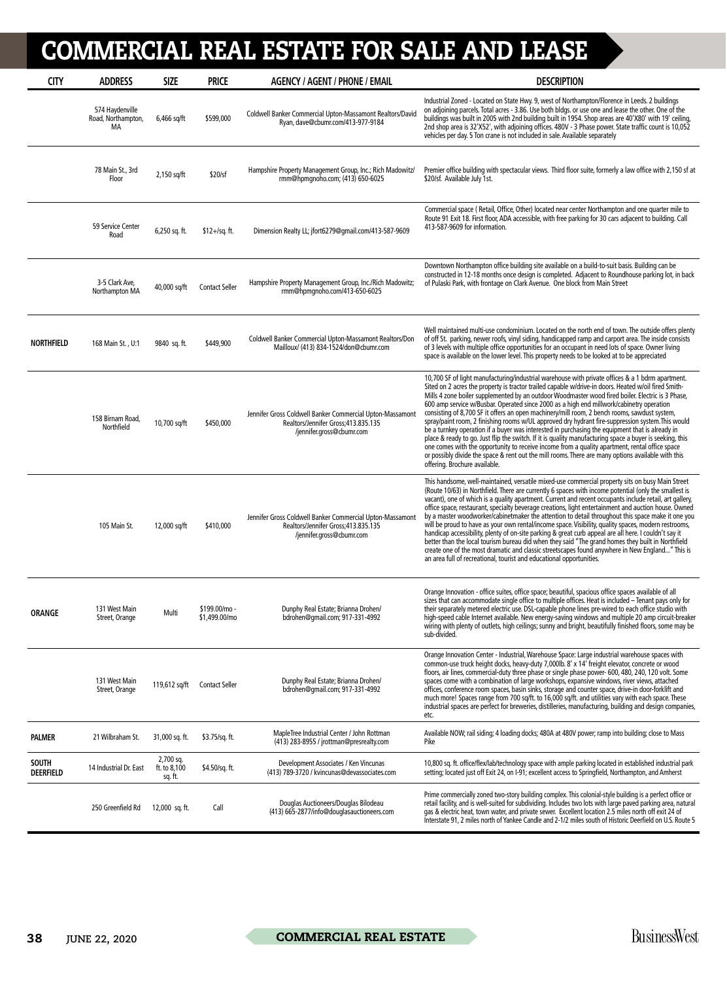| <b>CITY</b>                      | <b>ADDRESS</b>                              | <b>SIZE</b>                          | <b>PRICE</b>                   | <b>AGENCY / AGENT / PHONE / EMAIL</b>                                                                                          | <b>DESCRIPTION</b>                                                                                                                                                                                                                                                                                                                                                                                                                                                                                                                                                                                                                                                                                                                                                                                                                                                                                                                                                                                                                                                     |
|----------------------------------|---------------------------------------------|--------------------------------------|--------------------------------|--------------------------------------------------------------------------------------------------------------------------------|------------------------------------------------------------------------------------------------------------------------------------------------------------------------------------------------------------------------------------------------------------------------------------------------------------------------------------------------------------------------------------------------------------------------------------------------------------------------------------------------------------------------------------------------------------------------------------------------------------------------------------------------------------------------------------------------------------------------------------------------------------------------------------------------------------------------------------------------------------------------------------------------------------------------------------------------------------------------------------------------------------------------------------------------------------------------|
|                                  | 574 Haydenville<br>Road, Northampton,<br>МA | 6,466 sq/ft                          | \$599,000                      | Coldwell Banker Commercial Upton-Massamont Realtors/David<br>Ryan, dave@cbumr.com/413-977-9184                                 | Industrial Zoned - Located on State Hwy. 9, west of Northampton/Florence in Leeds. 2 buildings<br>on adjoining parcels. Total acres - 3.86. Use both bldgs. or use one and lease the other. One of the<br>buildings was built in 2005 with 2nd building built in 1954. Shop areas are 40'X80' with 19' ceiling,<br>2nd shop area is 32'X52', with adjoining offices. 480V - 3 Phase power. State traffic count is 10,052<br>vehicles per day. 5 Ton crane is not included in sale. Available separately                                                                                                                                                                                                                                                                                                                                                                                                                                                                                                                                                                |
|                                  | 78 Main St., 3rd<br>Floor                   | 2,150 sq/ft                          | \$20/sf                        | Hampshire Property Management Group, Inc.; Rich Madowitz/<br>rmm@hpmgnoho.com; (413) 650-6025                                  | Premier office building with spectacular views. Third floor suite, formerly a law office with 2,150 sf at<br>\$20/sf. Available July 1st.                                                                                                                                                                                                                                                                                                                                                                                                                                                                                                                                                                                                                                                                                                                                                                                                                                                                                                                              |
|                                  | 59 Service Center<br>Road                   | 6,250 sq. ft.                        | $$12 + / sq.$ ft.              | Dimension Realty LL; jfort6279@qmail.com/413-587-9609                                                                          | Commercial space (Retail, Office, Other) located near center Northampton and one quarter mile to<br>Route 91 Exit 18. First floor, ADA accessible, with free parking for 30 cars adjacent to building. Call<br>413-587-9609 for information.                                                                                                                                                                                                                                                                                                                                                                                                                                                                                                                                                                                                                                                                                                                                                                                                                           |
|                                  | 3-5 Clark Ave,<br>Northampton MA            | 40,000 sq/ft                         | <b>Contact Seller</b>          | Hampshire Property Management Group, Inc./Rich Madowitz;<br>rmm@hpmqnoho.com/413-650-6025                                      | Downtown Northampton office building site available on a build-to-suit basis. Building can be<br>constructed in 12-18 months once design is completed. Adjacent to Roundhouse parking lot, in back<br>of Pulaski Park, with frontage on Clark Avenue. One block from Main Street                                                                                                                                                                                                                                                                                                                                                                                                                                                                                                                                                                                                                                                                                                                                                                                       |
| <b>NORTHFIELD</b>                | 168 Main St., U:1                           | 9840 sq. ft.                         | \$449,900                      | Coldwell Banker Commercial Upton-Massamont Realtors/Don<br>Mailloux/ (413) 834-1524/don@cbumr.com                              | Well maintained multi-use condominium. Located on the north end of town. The outside offers plenty<br>of off St. parking, newer roofs, vinyl siding, handicapped ramp and carport area. The inside consists<br>of 3 levels with multiple office opportunities for an occupant in need lots of space. Owner living<br>space is available on the lower level. This property needs to be looked at to be appreciated                                                                                                                                                                                                                                                                                                                                                                                                                                                                                                                                                                                                                                                      |
|                                  | 158 Birnam Road,<br>Northfield              | 10,700 sq/ft                         | \$450,000                      | Jennifer Gross Coldwell Banker Commercial Upton-Massamont<br>Realtors/Jennifer Gross; 413.835.135<br>/jennifer.gross@cbumr.com | 10,700 SF of light manufacturing/industrial warehouse with private offices & a 1 bdrm apartment.<br>Sited on 2 acres the property is tractor trailed capable w/drive-in doors. Heated w/oil fired Smith-<br>Mills 4 zone boiler supplemented by an outdoor Woodmaster wood fired boiler. Electric is 3 Phase,<br>600 amp service w/Busbar. Operated since 2000 as a high end millwork/cabinetry operation<br>consisting of 8,700 SF it offers an open machinery/mill room, 2 bench rooms, sawdust system,<br>spray/paint room, 2 finishing rooms w/UL approved dry hydrant fire-suppression system. This would<br>be a turnkey operation if a buyer was interested in purchasing the equipment that is already in<br>place & ready to go. Just flip the switch. If it is quality manufacturing space a buyer is seeking, this<br>one comes with the opportunity to receive income from a quality apartment, rental office space<br>or possibly divide the space & rent out the mill rooms. There are many options available with this<br>offering. Brochure available. |
|                                  | 105 Main St.                                | 12,000 sq/ft                         | \$410,000                      | Jennifer Gross Coldwell Banker Commercial Upton-Massamont<br>Realtors/Jennifer Gross; 413.835.135<br>/jennifer.gross@cbumr.com | This handsome, well-maintained, versatile mixed-use commercial property sits on busy Main Street<br>(Route 10/63) in Northfield. There are currently 6 spaces with income potential (only the smallest is<br>vacant), one of which is a quality apartment. Current and recent occupants include retail, art gallery,<br>office space, restaurant, specialty beverage creations, light entertainment and auction house. Owned<br>by a master woodworker/cabinetmaker the attention to detail throughout this space make it one you<br>will be proud to have as your own rental/income space. Visibility, quality spaces, modern restrooms,<br>handicap accessibility, plenty of on-site parking & great curb appeal are all here. I couldn't say it<br>better than the local tourism bureau did when they said "The grand homes they built in Northfield<br>create one of the most dramatic and classic streetscapes found anywhere in New England" This is<br>an area full of recreational, tourist and educational opportunities.                                     |
| <b>ORANGE</b>                    | 131 West Main<br>Street, Orange             | Multi                                | \$199.00/mo -<br>\$1,499.00/mo | Dunphy Real Estate; Brianna Drohen/<br>bdrohen@gmail.com; 917-331-4992                                                         | Orange Innovation - office suites, office space; beautiful, spacious office spaces available of all<br>sizes that can accommodate single office to multiple offices. Heat is included - Tenant pays only for<br>their separately metered electric use. DSL-capable phone lines pre-wired to each office studio with<br>high-speed cable Internet available. New energy-saving windows and multiple 20 amp circuit-breaker<br>wiring with plenty of outlets, high ceilings; sunny and bright, beautifully finished floors, some may be<br>sub-divided.                                                                                                                                                                                                                                                                                                                                                                                                                                                                                                                  |
|                                  | 131 West Main<br>Street, Orange             | 119,612 sq/ft                        | <b>Contact Seller</b>          | Dunphy Real Estate; Brianna Drohen/<br>bdrohen@gmail.com; 917-331-4992                                                         | Orange Innovation Center - Industrial, Warehouse Space: Large industrial warehouse spaces with<br>common-use truck height docks, heavy-duty 7,000lb. 8' x 14' freight elevator, concrete or wood<br>floors, air lines, commercial-duty three phase or single phase power- 600, 480, 240, 120 volt. Some<br>spaces come with a combination of large workshops, expansive windows, river views, attached<br>offices, conference room spaces, basin sinks, storage and counter space, drive-in door-forklift and<br>much more! Spaces range from 700 sq/ft. to 16,000 sq/ft. and utilities vary with each space. These<br>industrial spaces are perfect for breweries, distilleries, manufacturing, building and design companies,<br>etc.                                                                                                                                                                                                                                                                                                                                |
| <b>PALMER</b>                    | 21 Wilbraham St.                            | 31,000 sq. ft.                       | \$3.75/sq. ft.                 | MapleTree Industrial Center / John Rottman<br>(413) 283-8955 / jrottman@presrealty.com                                         | Available NOW; rail siding; 4 loading docks; 480A at 480V power; ramp into building; close to Mass<br>Pike                                                                                                                                                                                                                                                                                                                                                                                                                                                                                                                                                                                                                                                                                                                                                                                                                                                                                                                                                             |
| <b>SOUTH</b><br><b>DEERFIELD</b> | 14 Industrial Dr. East                      | 2,700 sq.<br>ft. to 8,100<br>sq. ft. | \$4.50/sq. ft.                 | Development Associates / Ken Vincunas<br>(413) 789-3720 / kvincunas@devassociates.com                                          | 10,800 sq. ft. office/flex/lab/technology space with ample parking located in established industrial park<br>setting; located just off Exit 24, on I-91; excellent access to Springfield, Northampton, and Amherst                                                                                                                                                                                                                                                                                                                                                                                                                                                                                                                                                                                                                                                                                                                                                                                                                                                     |
|                                  | 250 Greenfield Rd                           | 12,000 sq. ft.                       | Call                           | Douglas Auctioneers/Douglas Bilodeau<br>(413) 665-2877/info@douglasauctioneers.com                                             | Prime commercially zoned two-story building complex. This colonial-style building is a perfect office or<br>retail facility, and is well-suited for subdividing. Includes two lots with large paved parking area, natural<br>gas & electric heat, town water, and private sewer. Excellent location 2.5 miles north off exit 24 of<br>Interstate 91, 2 miles north of Yankee Candle and 2-1/2 miles south of Historic Deerfield on U.S. Route 5                                                                                                                                                                                                                                                                                                                                                                                                                                                                                                                                                                                                                        |